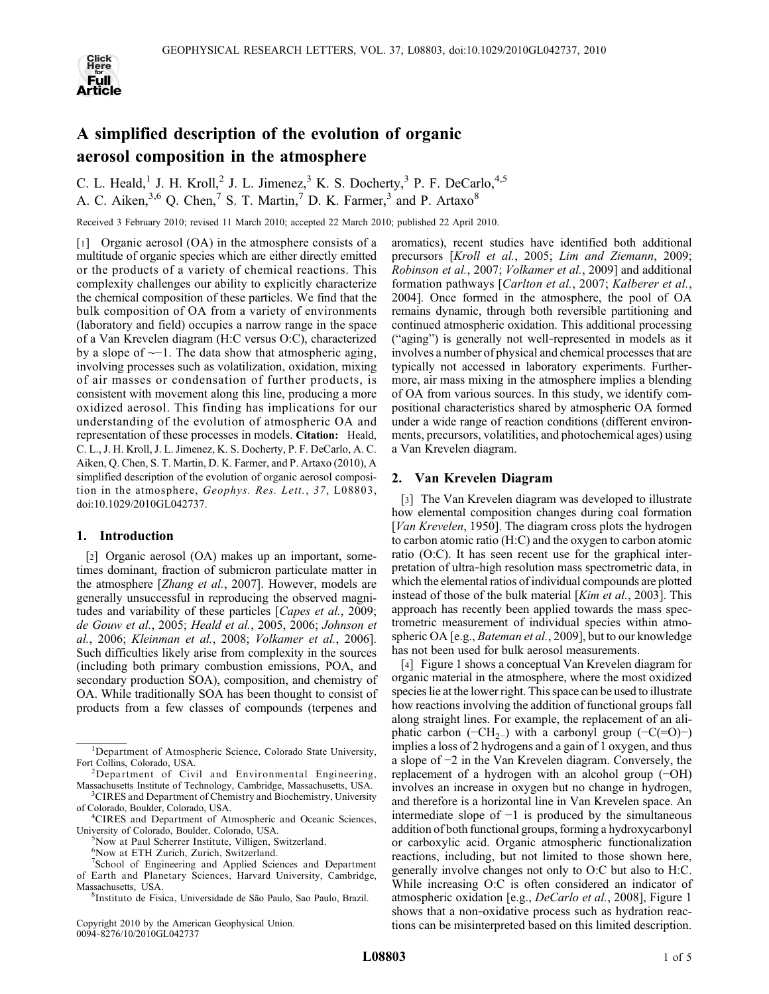

# A simplified description of the evolution of organic aerosol composition in the atmosphere

C. L. Heald,<sup>1</sup> J. H. Kroll,<sup>2</sup> J. L. Jimenez,<sup>3</sup> K. S. Docherty,<sup>3</sup> P. F. DeCarlo,<sup>4,5</sup> A. C. Aiken,  $3.6$  Q. Chen,  $7$  S. T. Martin,  $7$  D. K. Farmer,  $3$  and P. Artaxo  $8$ 

Received 3 February 2010; revised 11 March 2010; accepted 22 March 2010; published 22 April 2010.

[1] Organic aerosol (OA) in the atmosphere consists of a multitude of organic species which are either directly emitted or the products of a variety of chemical reactions. This complexity challenges our ability to explicitly characterize the chemical composition of these particles. We find that the bulk composition of OA from a variety of environments (laboratory and field) occupies a narrow range in the space of a Van Krevelen diagram (H:C versus O:C), characterized by a slope of ∼−1. The data show that atmospheric aging, involving processes such as volatilization, oxidation, mixing of air masses or condensation of further products, is consistent with movement along this line, producing a more oxidized aerosol. This finding has implications for our understanding of the evolution of atmospheric OA and representation of these processes in models. Citation: Heald, C. L., J. H. Kroll, J. L. Jimenez, K. S. Docherty, P. F. DeCarlo, A. C. Aiken, Q. Chen, S. T. Martin, D. K. Farmer, and P. Artaxo (2010), A simplified description of the evolution of organic aerosol composition in the atmosphere, Geophys. Res. Lett., 37, L08803, doi:10.1029/2010GL042737.

## 1. Introduction

[2] Organic aerosol (OA) makes up an important, sometimes dominant, fraction of submicron particulate matter in the atmosphere [*Zhang et al.*, 2007]. However, models are generally unsuccessful in reproducing the observed magnitudes and variability of these particles [Capes et al., 2009; de Gouw et al., 2005; Heald et al., 2005, 2006; Johnson et al., 2006; Kleinman et al., 2008; Volkamer et al., 2006]. Such difficulties likely arise from complexity in the sources (including both primary combustion emissions, POA, and secondary production SOA), composition, and chemistry of OA. While traditionally SOA has been thought to consist of products from a few classes of compounds (terpenes and

Copyright 2010 by the American Geophysical Union. 0094‐8276/10/2010GL042737

aromatics), recent studies have identified both additional precursors [Kroll et al., 2005; Lim and Ziemann, 2009; Robinson et al., 2007; Volkamer et al., 2009] and additional formation pathways [Carlton et al., 2007; Kalberer et al., 2004]. Once formed in the atmosphere, the pool of OA remains dynamic, through both reversible partitioning and continued atmospheric oxidation. This additional processing ("aging") is generally not well‐represented in models as it involves a number of physical and chemical processes that are typically not accessed in laboratory experiments. Furthermore, air mass mixing in the atmosphere implies a blending of OA from various sources. In this study, we identify compositional characteristics shared by atmospheric OA formed under a wide range of reaction conditions (different environments, precursors, volatilities, and photochemical ages) using a Van Krevelen diagram.

## 2. Van Krevelen Diagram

[3] The Van Krevelen diagram was developed to illustrate how elemental composition changes during coal formation [*Van Krevelen,* 1950]. The diagram cross plots the hydrogen to carbon atomic ratio (H:C) and the oxygen to carbon atomic ratio (O:C). It has seen recent use for the graphical interpretation of ultra‐high resolution mass spectrometric data, in which the elemental ratios of individual compounds are plotted instead of those of the bulk material [*Kim et al.*, 2003]. This approach has recently been applied towards the mass spectrometric measurement of individual species within atmospheric OA [e.g., *Bateman et al.*, 2009], but to our knowledge has not been used for bulk aerosol measurements.

[4] Figure 1 shows a conceptual Van Krevelen diagram for organic material in the atmosphere, where the most oxidized species lie at the lower right. This space can be used to illustrate how reactions involving the addition of functional groups fall along straight lines. For example, the replacement of an aliphatic carbon ( $-CH<sub>2</sub>$ ) with a carbonyl group ( $-C(=O)$ ) implies a loss of 2 hydrogens and a gain of 1 oxygen, and thus a slope of −2 in the Van Krevelen diagram. Conversely, the replacement of a hydrogen with an alcohol group (−OH) involves an increase in oxygen but no change in hydrogen, and therefore is a horizontal line in Van Krevelen space. An intermediate slope of  $-1$  is produced by the simultaneous addition of both functional groups, forming a hydroxycarbonyl or carboxylic acid. Organic atmospheric functionalization reactions, including, but not limited to those shown here, generally involve changes not only to O:C but also to H:C. While increasing O:C is often considered an indicator of atmospheric oxidation [e.g., DeCarlo et al., 2008], Figure 1 shows that a non-oxidative process such as hydration reactions can be misinterpreted based on this limited description.

<sup>&</sup>lt;sup>1</sup>Department of Atmospheric Science, Colorado State University, Fort Collins, Colorado, USA. <sup>2</sup>

 $2$ Department of Civil and Environmental Engineering, Massachusetts Institute of Technology, Cambridge, Massachusetts, USA. <sup>3</sup> <sup>3</sup>CIRES and Department of Chemistry and Biochemistry, University

of Colorado, Boulder, Colorado, USA. <sup>4</sup> <sup>4</sup>CIRES and Department of Atmospheric and Oceanic Sciences,

University of Colorado, Boulder, Colorado, USA. <sup>5</sup> Now at Paul Scherrer Institute, Villigen, Switzerland.

<sup>6</sup> Now at ETH Zurich, Zurich, Switzerland.

<sup>7</sup> School of Engineering and Applied Sciences and Department

of Earth and Planetary Sciences, Harvard University, Cambridge, Massachusetts, USA.

<sup>&</sup>lt;sup>8</sup>Instituto de Fisíca, Universidade de São Paulo, Sao Paulo, Brazil.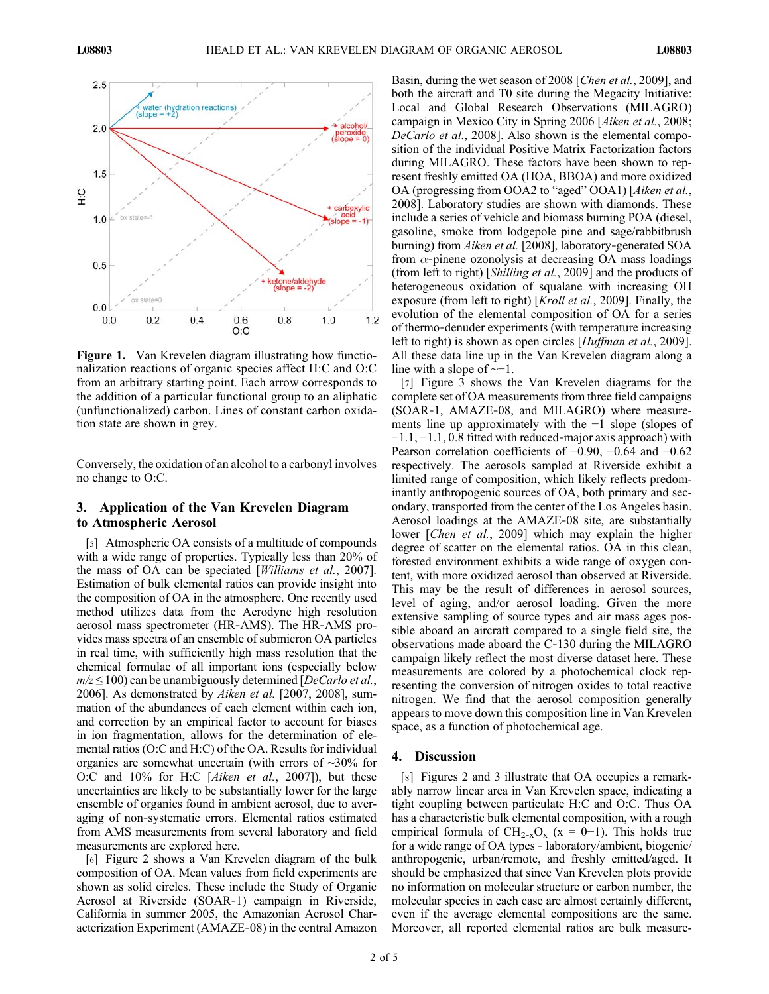

Figure 1. Van Krevelen diagram illustrating how functionalization reactions of organic species affect H:C and O:C from an arbitrary starting point. Each arrow corresponds to the addition of a particular functional group to an aliphatic (unfunctionalized) carbon. Lines of constant carbon oxidation state are shown in grey.

Conversely, the oxidation of an alcohol to a carbonyl involves no change to O:C.

## 3. Application of the Van Krevelen Diagram to Atmospheric Aerosol

[5] Atmospheric OA consists of a multitude of compounds with a wide range of properties. Typically less than 20% of the mass of OA can be speciated [Williams et al., 2007]. Estimation of bulk elemental ratios can provide insight into the composition of OA in the atmosphere. One recently used method utilizes data from the Aerodyne high resolution aerosol mass spectrometer (HR‐AMS). The HR‐AMS provides mass spectra of an ensemble of submicron OA particles in real time, with sufficiently high mass resolution that the chemical formulae of all important ions (especially below  $m/z \leq 100$ ) can be unambiguously determined [DeCarlo et al., 2006]. As demonstrated by Aiken et al. [2007, 2008], summation of the abundances of each element within each ion, and correction by an empirical factor to account for biases in ion fragmentation, allows for the determination of elemental ratios (O:C and H:C) of the OA. Results for individual organics are somewhat uncertain (with errors of ∼30% for O:C and 10% for H:C [Aiken et al., 2007]), but these uncertainties are likely to be substantially lower for the large ensemble of organics found in ambient aerosol, due to averaging of non‐systematic errors. Elemental ratios estimated from AMS measurements from several laboratory and field measurements are explored here.

[6] Figure 2 shows a Van Krevelen diagram of the bulk composition of OA. Mean values from field experiments are shown as solid circles. These include the Study of Organic Aerosol at Riverside (SOAR‐1) campaign in Riverside, California in summer 2005, the Amazonian Aerosol Characterization Experiment (AMAZE‐08) in the central Amazon Basin, during the wet season of 2008 [Chen et al., 2009], and both the aircraft and T0 site during the Megacity Initiative: Local and Global Research Observations (MILAGRO) campaign in Mexico City in Spring 2006 [Aiken et al., 2008; DeCarlo et al., 2008]. Also shown is the elemental composition of the individual Positive Matrix Factorization factors during MILAGRO. These factors have been shown to represent freshly emitted OA (HOA, BBOA) and more oxidized OA (progressing from OOA2 to "aged" OOA1) [Aiken et al., 2008]. Laboratory studies are shown with diamonds. These include a series of vehicle and biomass burning POA (diesel, gasoline, smoke from lodgepole pine and sage/rabbitbrush burning) from Aiken et al. [2008], laboratory-generated SOA from  $\alpha$ -pinene ozonolysis at decreasing OA mass loadings (from left to right) [Shilling et al., 2009] and the products of heterogeneous oxidation of squalane with increasing OH exposure (from left to right) [*Kroll et al.*, 2009]. Finally, the evolution of the elemental composition of OA for a series of thermo‐denuder experiments (with temperature increasing left to right) is shown as open circles [*Huffman et al.*, 2009]. All these data line up in the Van Krevelen diagram along a line with a slope of ∼−1.

[7] Figure 3 shows the Van Krevelen diagrams for the complete set of OA measurements from three field campaigns (SOAR‐1, AMAZE‐08, and MILAGRO) where measurements line up approximately with the −1 slope (slopes of −1.1, −1.1, 0.8 fitted with reduced‐major axis approach) with Pearson correlation coefficients of −0.90, −0.64 and −0.62 respectively. The aerosols sampled at Riverside exhibit a limited range of composition, which likely reflects predominantly anthropogenic sources of OA, both primary and secondary, transported from the center of the Los Angeles basin. Aerosol loadings at the AMAZE‐08 site, are substantially lower [Chen et al., 2009] which may explain the higher degree of scatter on the elemental ratios. OA in this clean, forested environment exhibits a wide range of oxygen content, with more oxidized aerosol than observed at Riverside. This may be the result of differences in aerosol sources, level of aging, and/or aerosol loading. Given the more extensive sampling of source types and air mass ages possible aboard an aircraft compared to a single field site, the observations made aboard the C‐130 during the MILAGRO campaign likely reflect the most diverse dataset here. These measurements are colored by a photochemical clock representing the conversion of nitrogen oxides to total reactive nitrogen. We find that the aerosol composition generally appears to move down this composition line in Van Krevelen space, as a function of photochemical age.

### 4. Discussion

[8] Figures 2 and 3 illustrate that OA occupies a remarkably narrow linear area in Van Krevelen space, indicating a tight coupling between particulate H:C and O:C. Thus OA has a characteristic bulk elemental composition, with a rough empirical formula of  $CH_{2-x}O_x$  (x = 0–1). This holds true for a wide range of OA types ‐ laboratory/ambient, biogenic/ anthropogenic, urban/remote, and freshly emitted/aged. It should be emphasized that since Van Krevelen plots provide no information on molecular structure or carbon number, the molecular species in each case are almost certainly different, even if the average elemental compositions are the same. Moreover, all reported elemental ratios are bulk measure-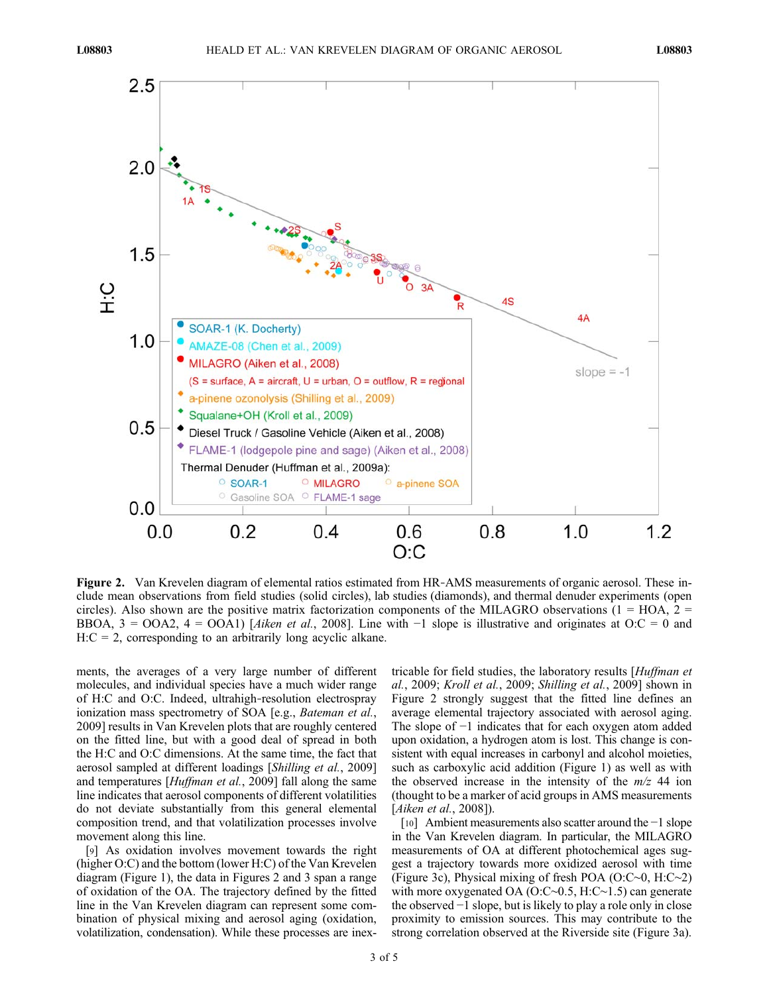

Figure 2. Van Krevelen diagram of elemental ratios estimated from HR–AMS measurements of organic aerosol. These include mean observations from field studies (solid circles), lab studies (diamonds), and thermal denuder experiments (open circles). Also shown are the positive matrix factorization components of the MILAGRO observations ( $1 = HOA$ ,  $2 =$ BBOA,  $3 = OOA2$ ,  $4 = OOA1$ ) [Aiken et al., 2008]. Line with  $-1$  slope is illustrative and originates at O:C = 0 and  $H: C = 2$ , corresponding to an arbitrarily long acyclic alkane.

ments, the averages of a very large number of different molecules, and individual species have a much wider range of H:C and O:C. Indeed, ultrahigh‐resolution electrospray ionization mass spectrometry of SOA [e.g., *Bateman et al.*, 2009] results in Van Krevelen plots that are roughly centered on the fitted line, but with a good deal of spread in both the H:C and O:C dimensions. At the same time, the fact that aerosol sampled at different loadings [Shilling et al., 2009] and temperatures [Huffman et al., 2009] fall along the same line indicates that aerosol components of different volatilities do not deviate substantially from this general elemental composition trend, and that volatilization processes involve movement along this line.

[9] As oxidation involves movement towards the right (higher O:C) and the bottom (lower H:C) of the Van Krevelen diagram (Figure 1), the data in Figures 2 and 3 span a range of oxidation of the OA. The trajectory defined by the fitted line in the Van Krevelen diagram can represent some combination of physical mixing and aerosol aging (oxidation, volatilization, condensation). While these processes are inextricable for field studies, the laboratory results [Huffman et al., 2009; Kroll et al., 2009; Shilling et al., 2009] shown in Figure 2 strongly suggest that the fitted line defines an average elemental trajectory associated with aerosol aging. The slope of −1 indicates that for each oxygen atom added upon oxidation, a hydrogen atom is lost. This change is consistent with equal increases in carbonyl and alcohol moieties, such as carboxylic acid addition (Figure 1) as well as with the observed increase in the intensity of the  $m/z$  44 ion (thought to be a marker of acid groups in AMS measurements [Aiken et al., 2008]).

[10] Ambient measurements also scatter around the −1 slope in the Van Krevelen diagram. In particular, the MILAGRO measurements of OA at different photochemical ages suggest a trajectory towards more oxidized aerosol with time (Figure 3c), Physical mixing of fresh POA (O:C∼0, H:C∼2) with more oxygenated OA (O:C∼0.5, H:C∼1.5) can generate the observed −1 slope, but is likely to play a role only in close proximity to emission sources. This may contribute to the strong correlation observed at the Riverside site (Figure 3a).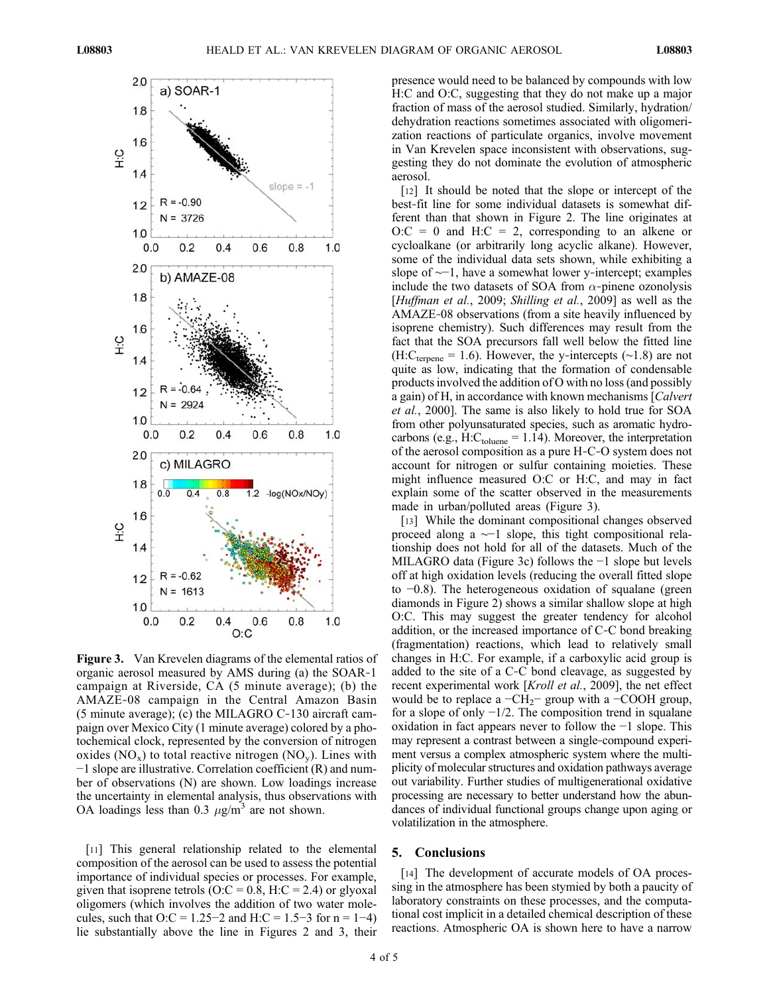

Figure 3. Van Krevelen diagrams of the elemental ratios of organic aerosol measured by AMS during (a) the SOAR‐1 campaign at Riverside, CA (5 minute average); (b) the AMAZE‐08 campaign in the Central Amazon Basin (5 minute average); (c) the MILAGRO C‐130 aircraft campaign over Mexico City (1 minute average) colored by a photochemical clock, represented by the conversion of nitrogen oxides  $(NO_x)$  to total reactive nitrogen  $(NO_y)$ . Lines with −1 slope are illustrative. Correlation coefficient (R) and number of observations (N) are shown. Low loadings increase the uncertainty in elemental analysis, thus observations with OA loadings less than 0.3  $\mu$ g/m<sup>3</sup> are not shown.

[11] This general relationship related to the elemental composition of the aerosol can be used to assess the potential importance of individual species or processes. For example, given that isoprene tetrols ( $O:$ C = 0.8, H:C = 2.4) or glyoxal oligomers (which involves the addition of two water molecules, such that  $O:C = 1.25-2$  and  $H:C = 1.5-3$  for  $n = 1-4$ ) lie substantially above the line in Figures 2 and 3, their

presence would need to be balanced by compounds with low H:C and O:C, suggesting that they do not make up a major fraction of mass of the aerosol studied. Similarly, hydration/ dehydration reactions sometimes associated with oligomerization reactions of particulate organics, involve movement in Van Krevelen space inconsistent with observations, suggesting they do not dominate the evolution of atmospheric aerosol.

[12] It should be noted that the slope or intercept of the best‐fit line for some individual datasets is somewhat different than that shown in Figure 2. The line originates at  $O:C = 0$  and  $H:C = 2$ , corresponding to an alkene or cycloalkane (or arbitrarily long acyclic alkane). However, some of the individual data sets shown, while exhibiting a slope of ∼−1, have a somewhat lower y-intercept; examples include the two datasets of SOA from  $\alpha$ -pinene ozonolysis [Huffman et al., 2009; Shilling et al., 2009] as well as the AMAZE‐08 observations (from a site heavily influenced by isoprene chemistry). Such differences may result from the fact that the SOA precursors fall well below the fitted line (H:C<sub>terpene</sub> = 1.6). However, the y-intercepts ( $\sim$ 1.8) are not quite as low, indicating that the formation of condensable products involved the addition of O with no loss (and possibly a gain) of H, in accordance with known mechanisms [Calvert et al., 2000]. The same is also likely to hold true for SOA from other polyunsaturated species, such as aromatic hydrocarbons (e.g., H: $C_{toluene}$  = 1.14). Moreover, the interpretation of the aerosol composition as a pure H‐C‐O system does not account for nitrogen or sulfur containing moieties. These might influence measured O:C or H:C, and may in fact explain some of the scatter observed in the measurements made in urban/polluted areas (Figure 3).

[13] While the dominant compositional changes observed proceed along a ∼−1 slope, this tight compositional relationship does not hold for all of the datasets. Much of the MILAGRO data (Figure 3c) follows the −1 slope but levels off at high oxidation levels (reducing the overall fitted slope to −0.8). The heterogeneous oxidation of squalane (green diamonds in Figure 2) shows a similar shallow slope at high O:C. This may suggest the greater tendency for alcohol addition, or the increased importance of C‐C bond breaking (fragmentation) reactions, which lead to relatively small changes in H:C. For example, if a carboxylic acid group is added to the site of a C‐C bond cleavage, as suggested by recent experimental work [Kroll et al., 2009], the net effect would be to replace a  $-CH_2$ − group with a −COOH group, for a slope of only −1/2. The composition trend in squalane oxidation in fact appears never to follow the −1 slope. This may represent a contrast between a single‐compound experiment versus a complex atmospheric system where the multiplicity of molecular structures and oxidation pathways average out variability. Further studies of multigenerational oxidative processing are necessary to better understand how the abundances of individual functional groups change upon aging or volatilization in the atmosphere.

## 5. Conclusions

[14] The development of accurate models of OA processing in the atmosphere has been stymied by both a paucity of laboratory constraints on these processes, and the computational cost implicit in a detailed chemical description of these reactions. Atmospheric OA is shown here to have a narrow